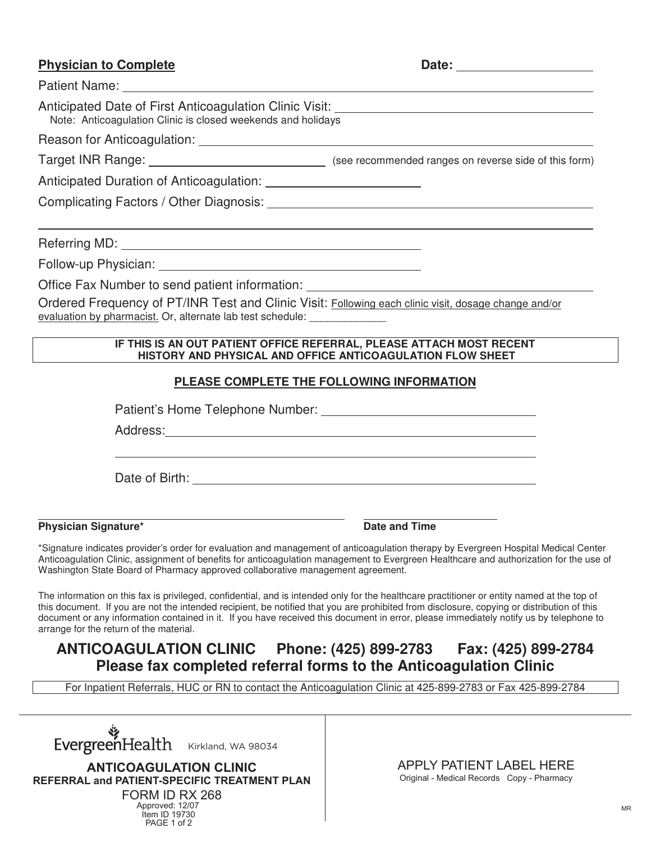## **Physician to Complete Date: Date: Date: Date:**

Patient Name:

| Anticipated Date of First Anticoagulation Clinic Visit: National Anticipated Date of First Anticoagulation Clinic Visit:<br>Note: Anticoagulation Clinic is closed weekends and holidays |                                                                                                                                    |  |  |
|------------------------------------------------------------------------------------------------------------------------------------------------------------------------------------------|------------------------------------------------------------------------------------------------------------------------------------|--|--|
|                                                                                                                                                                                          |                                                                                                                                    |  |  |
|                                                                                                                                                                                          |                                                                                                                                    |  |  |
|                                                                                                                                                                                          |                                                                                                                                    |  |  |
|                                                                                                                                                                                          |                                                                                                                                    |  |  |
|                                                                                                                                                                                          |                                                                                                                                    |  |  |
|                                                                                                                                                                                          |                                                                                                                                    |  |  |
|                                                                                                                                                                                          |                                                                                                                                    |  |  |
| Office Fax Number to send patient information: _________________________________                                                                                                         |                                                                                                                                    |  |  |
| Ordered Frequency of PT/INR Test and Clinic Visit: Following each clinic visit, dosage change and/or<br>evaluation by pharmacist. Or, alternate lab test schedule: ______________        |                                                                                                                                    |  |  |
|                                                                                                                                                                                          | IF THIS IS AN OUT PATIENT OFFICE REFERRAL, PLEASE ATTACH MOST RECENT<br>HISTORY AND PHYSICAL AND OFFICE ANTICOAGULATION FLOW SHEET |  |  |
|                                                                                                                                                                                          | PLEASE COMPLETE THE FOLLOWING INFORMATION                                                                                          |  |  |
|                                                                                                                                                                                          |                                                                                                                                    |  |  |
|                                                                                                                                                                                          |                                                                                                                                    |  |  |
|                                                                                                                                                                                          |                                                                                                                                    |  |  |
|                                                                                                                                                                                          |                                                                                                                                    |  |  |
|                                                                                                                                                                                          |                                                                                                                                    |  |  |
| <b>Physician Signature*</b>                                                                                                                                                              | Date and Time                                                                                                                      |  |  |

\*Signature indicates provider's order for evaluation and management of anticoagulation therapy by Evergreen Hospital Medical Center Anticoagulation Clinic, assignment of benefits for anticoagulation management to Evergreen Healthcare and authorization for the use of Washington State Board of Pharmacy approved collaborative management agreement.

The information on this fax is privileged, confidential, and is intended only for the healthcare practitioner or entity named at the top of this document. If you are not the intended recipient, be notified that you are prohibited from disclosure, copying or distribution of this document or any information contained in it. If you have received this document in error, please immediately notify us by telephone to arrange for the return of the material.

## **ANTICOAGULATION CLINIC Phone: (425) 899-2783 Fax: (425) 899-2784 Please fax completed referral forms to the Anticoagulation Clinic**

For Inpatient Referrals, HUC or RN to contact the Anticoagulation Clinic at 425-899-2783 or Fax 425-899-2784

Kirkland, Kirkland, WA 98034 **ANTICOLATION** Kirkland, WA 98034

**REFERRAL and PATIENT-SPECIFIC TREATMENT PLAN** Page 1 of 2 **REFERRal and PatiEnt-SPEciFic tREatMEnt Plan**  $FORM ID RX 268$ Approved: 12/07 Approved: 12/2007 Item ID 19730 PAGE 1 of 2

**ANTICOAGULATION CLINIC APPLY PATIENT LABEL HERE** APPLY PATIENT LABEL HERE Original - Medical Records Copy - Pharmacy